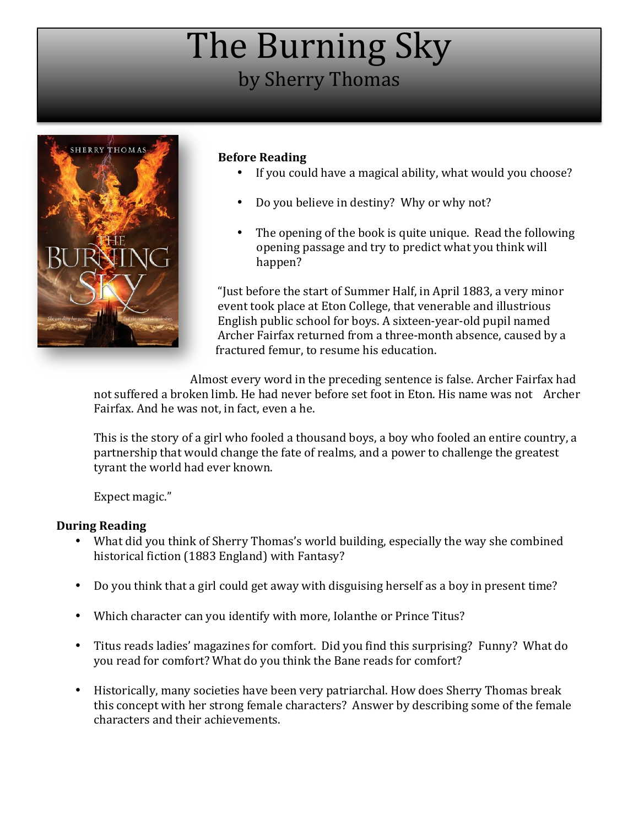# The Burning Sky by Sherry Thomas



# **Before Reading**

- If you could have a magical ability, what would you choose?
- Do you believe in destiny? Why or why not?
- The opening of the book is quite unique. Read the following opening passage and try to predict what you think will happen?

"Just before the start of Summer Half, in April 1883, a very minor event took place at Eton College, that venerable and illustrious English public school for boys. A sixteen-year-old pupil named Archer Fairfax returned from a three-month absence, caused by a fractured femur, to resume his education.

Almost every word in the preceding sentence is false. Archer Fairfax had not suffered a broken limb. He had never before set foot in Eton. His name was not Archer Fairfax. And he was not, in fact, even a he.

This is the story of a girl who fooled a thousand boys, a boy who fooled an entire country, a partnership that would change the fate of realms, and a power to challenge the greatest tyrant the world had ever known.

Expect magic."

### **During Reading**

- What did you think of Sherry Thomas's world building, especially the way she combined historical fiction (1883 England) with Fantasy?
- Do you think that a girl could get away with disguising herself as a boy in present time?
- Which character can you identify with more, Iolanthe or Prince Titus?
- Titus reads ladies' magazines for comfort. Did you find this surprising? Funny? What do you read for comfort? What do you think the Bane reads for comfort?
- Historically, many societies have been very patriarchal. How does Sherry Thomas break this concept with her strong female characters? Answer by describing some of the female characters and their achievements.